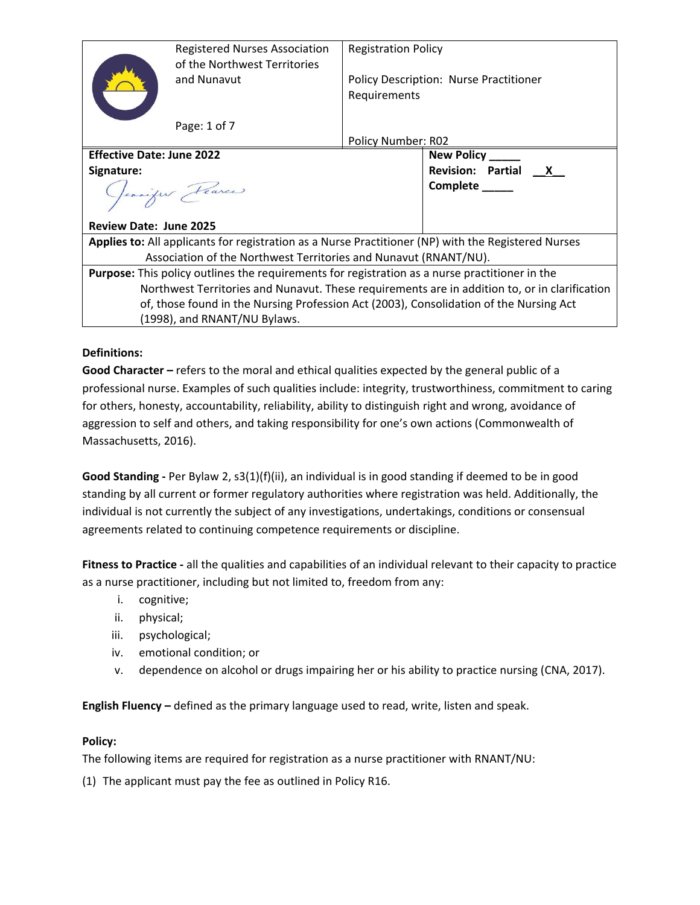|                                                                                                       | <b>Registered Nurses Association</b><br>of the Northwest Territories | <b>Registration Policy</b><br>Policy Description: Nurse Practitioner<br>Requirements |                     |  |
|-------------------------------------------------------------------------------------------------------|----------------------------------------------------------------------|--------------------------------------------------------------------------------------|---------------------|--|
|                                                                                                       | and Nunavut                                                          |                                                                                      |                     |  |
|                                                                                                       | Page: 1 of 7                                                         |                                                                                      |                     |  |
|                                                                                                       |                                                                      | Policy Number: R02                                                                   |                     |  |
| <b>Effective Date: June 2022</b>                                                                      |                                                                      |                                                                                      | <b>New Policy</b>   |  |
| Signature:                                                                                            |                                                                      |                                                                                      | Revision: Partial X |  |
| Jennifer Fearce                                                                                       |                                                                      |                                                                                      | Complete _____      |  |
| <b>Review Date: June 2025</b>                                                                         |                                                                      |                                                                                      |                     |  |
| Applies to: All applicants for registration as a Nurse Practitioner (NP) with the Registered Nurses   |                                                                      |                                                                                      |                     |  |
| Association of the Northwest Territories and Nunavut (RNANT/NU).                                      |                                                                      |                                                                                      |                     |  |
| <b>Purpose:</b> This policy outlines the requirements for registration as a nurse practitioner in the |                                                                      |                                                                                      |                     |  |
| Northwest Territories and Nunavut. These requirements are in addition to, or in clarification         |                                                                      |                                                                                      |                     |  |
| of, those found in the Nursing Profession Act (2003), Consolidation of the Nursing Act                |                                                                      |                                                                                      |                     |  |
| (1998), and RNANT/NU Bylaws.                                                                          |                                                                      |                                                                                      |                     |  |

## **Definitions:**

**Good Character –** refers to the moral and ethical qualities expected by the general public of a professional nurse. Examples of such qualities include: integrity, trustworthiness, commitment to caring for others, honesty, accountability, reliability, ability to distinguish right and wrong, avoidance of aggression to self and others, and taking responsibility for one's own actions (Commonwealth of Massachusetts, 2016).

**Good Standing -** Per Bylaw 2, s3(1)(f)(ii), an individual is in good standing if deemed to be in good standing by all current or former regulatory authorities where registration was held. Additionally, the individual is not currently the subject of any investigations, undertakings, conditions or consensual agreements related to continuing competence requirements or discipline.

**Fitness to Practice -** all the qualities and capabilities of an individual relevant to their capacity to practice as a nurse practitioner, including but not limited to, freedom from any:

- i. cognitive;
- ii. physical;
- iii. psychological;
- iv. emotional condition; or
- v. dependence on alcohol or drugs impairing her or his ability to practice nursing (CNA, 2017).

**English Fluency –** defined as the primary language used to read, write, listen and speak.

#### **Policy:**

The following items are required for registration as a nurse practitioner with RNANT/NU:

(1) The applicant must pay the fee as outlined in Policy R16.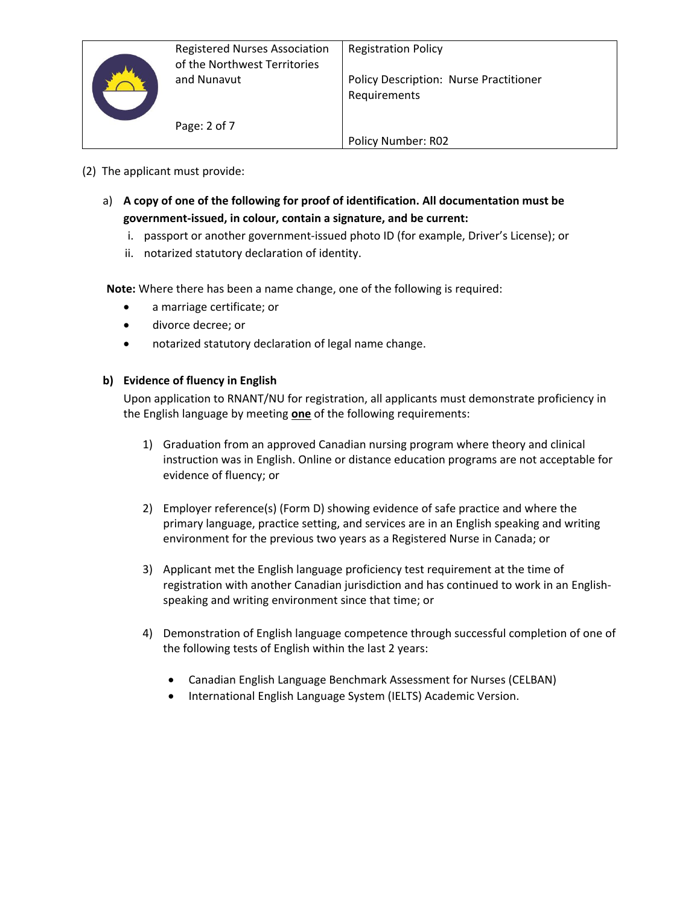

Policy Number: R02

- a) **A copy of one of the following for proof of identification. All documentation must be government-issued, in colour, contain a signature, and be current:**
	- i. passport or another government-issued photo ID (for example, Driver's License); or
	- ii. notarized statutory declaration of identity.

**Note:** Where there has been a name change, one of the following is required:

• a marriage certificate; or

Page: 2 of 7

- divorce decree; or
- notarized statutory declaration of legal name change.

#### **b) Evidence of fluency in English**

Upon application to RNANT/NU for registration, all applicants must demonstrate proficiency in the English language by meeting **one** of the following requirements:

- 1) Graduation from an approved Canadian nursing program where theory and clinical instruction was in English. Online or distance education programs are not acceptable for evidence of fluency; or
- 2) Employer reference(s) (Form D) showing evidence of safe practice and where the primary language, practice setting, and services are in an English speaking and writing environment for the previous two years as a Registered Nurse in Canada; or
- 3) Applicant met the English language proficiency test requirement at the time of registration with another Canadian jurisdiction and has continued to work in an Englishspeaking and writing environment since that time; or
- 4) Demonstration of English language competence through successful completion of one of the following tests of English within the last 2 years:
	- Canadian English Language Benchmark Assessment for Nurses (CELBAN)
	- International English Language System (IELTS) Academic Version.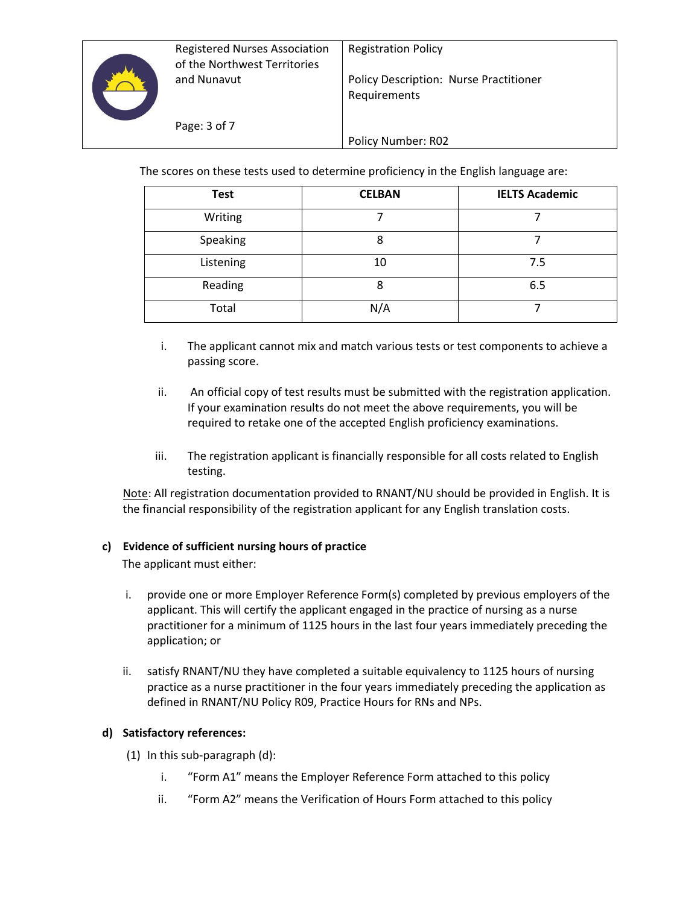

The scores on these tests used to determine proficiency in the English language are:

| <b>Test</b> | <b>CELBAN</b> | <b>IELTS Academic</b> |
|-------------|---------------|-----------------------|
| Writing     |               |                       |
| Speaking    | 8             |                       |
| Listening   | 10            | 7.5                   |
| Reading     | 8             | 6.5                   |
| Total       | N/A           |                       |

- i. The applicant cannot mix and match various tests or test components to achieve a passing score.
- ii. An official copy of test results must be submitted with the registration application. If your examination results do not meet the above requirements, you will be required to retake one of the accepted English proficiency examinations.
- iii. The registration applicant is financially responsible for all costs related to English testing.

Note: All registration documentation provided to RNANT/NU should be provided in English. It is the financial responsibility of the registration applicant for any English translation costs.

## **c) Evidence of sufficient nursing hours of practice**

The applicant must either:

- i. provide one or more Employer Reference Form(s) completed by previous employers of the applicant. This will certify the applicant engaged in the practice of nursing as a nurse practitioner for a minimum of 1125 hours in the last four years immediately preceding the application; or
- ii. satisfy RNANT/NU they have completed a suitable equivalency to 1125 hours of nursing practice as a nurse practitioner in the four years immediately preceding the application as defined in RNANT/NU Policy R09, Practice Hours for RNs and NPs.

## **d) Satisfactory references:**

- (1) In this sub-paragraph (d):
	- i. "Form A1" means the Employer Reference Form attached to this policy
	- ii. "Form A2" means the Verification of Hours Form attached to this policy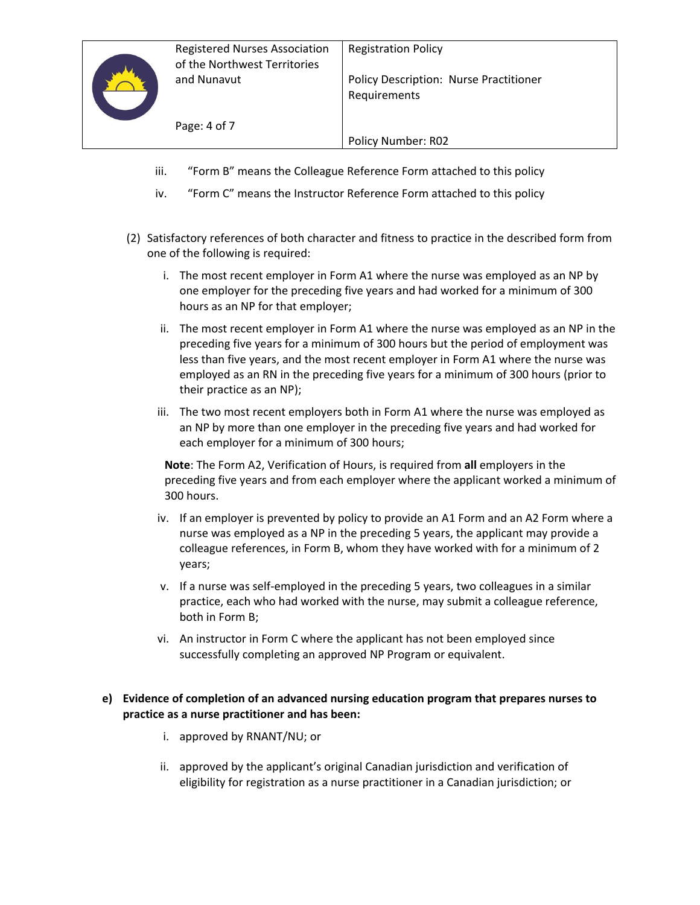Policy Number: R02

- iii. "Form B" means the Colleague Reference Form attached to this policy
- iv. "Form C" means the Instructor Reference Form attached to this policy
- (2) Satisfactory references of both character and fitness to practice in the described form from one of the following is required:
	- i. The most recent employer in Form A1 where the nurse was employed as an NP by one employer for the preceding five years and had worked for a minimum of 300 hours as an NP for that employer;
	- ii. The most recent employer in Form A1 where the nurse was employed as an NP in the preceding five years for a minimum of 300 hours but the period of employment was less than five years, and the most recent employer in Form A1 where the nurse was employed as an RN in the preceding five years for a minimum of 300 hours (prior to their practice as an NP);
	- iii. The two most recent employers both in Form A1 where the nurse was employed as an NP by more than one employer in the preceding five years and had worked for each employer for a minimum of 300 hours;

**Note**: The Form A2, Verification of Hours, is required from **all** employers in the preceding five years and from each employer where the applicant worked a minimum of 300 hours.

- iv. If an employer is prevented by policy to provide an A1 Form and an A2 Form where a nurse was employed as a NP in the preceding 5 years, the applicant may provide a colleague references, in Form B, whom they have worked with for a minimum of 2 years;
- v. If a nurse was self-employed in the preceding 5 years, two colleagues in a similar practice, each who had worked with the nurse, may submit a colleague reference, both in Form B;
- vi. An instructor in Form C where the applicant has not been employed since successfully completing an approved NP Program or equivalent.

#### **e) Evidence of completion of an advanced nursing education program that prepares nurses to practice as a nurse practitioner and has been:**

- i. approved by RNANT/NU; or
- ii. approved by the applicant's original Canadian jurisdiction and verification of eligibility for registration as a nurse practitioner in a Canadian jurisdiction; or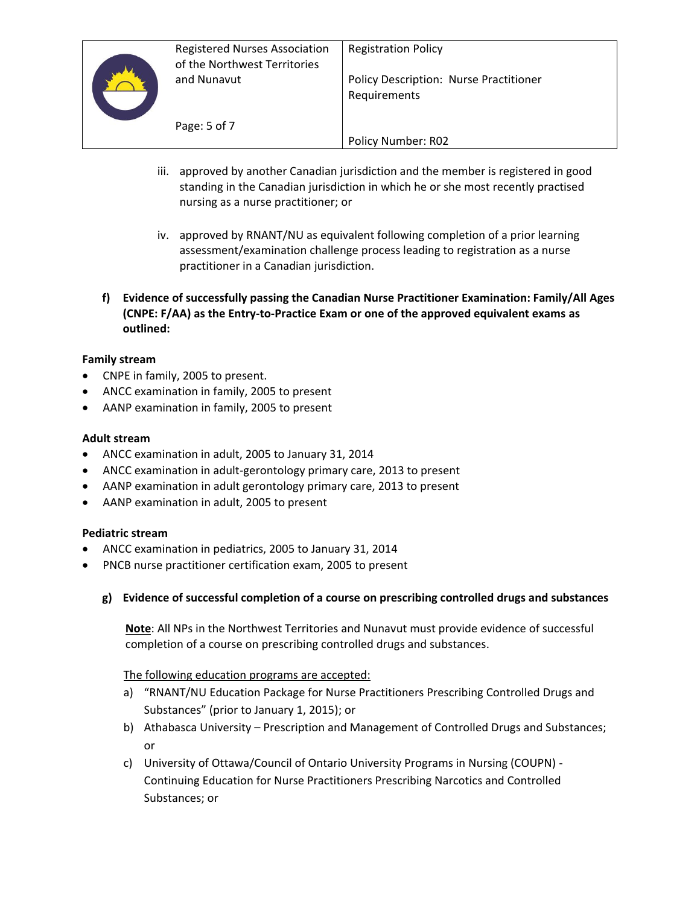

- iii. approved by another Canadian jurisdiction and the member is registered in good standing in the Canadian jurisdiction in which he or she most recently practised nursing as a nurse practitioner; or
- iv. approved by RNANT/NU as equivalent following completion of a prior learning assessment/examination challenge process leading to registration as a nurse practitioner in a Canadian jurisdiction.
- **f) Evidence of successfully passing the Canadian Nurse Practitioner Examination: Family/All Ages (CNPE: F/AA) as the Entry-to-Practice Exam or one of the approved equivalent exams as outlined:**

## **Family stream**

- CNPE in family, 2005 to present.
- ANCC examination in family, 2005 to present
- AANP examination in family, 2005 to present

#### **Adult stream**

- ANCC examination in adult, 2005 to January 31, 2014
- ANCC examination in adult-gerontology primary care, 2013 to present
- AANP examination in adult gerontology primary care, 2013 to present
- AANP examination in adult, 2005 to present

## **Pediatric stream**

- ANCC examination in pediatrics, 2005 to January 31, 2014
- PNCB nurse practitioner certification exam, 2005 to present

## **g) Evidence of successful completion of a course on prescribing controlled drugs and substances**

**Note**: All NPs in the Northwest Territories and Nunavut must provide evidence of successful completion of a course on prescribing controlled drugs and substances.

The following education programs are accepted:

- a) "RNANT/NU Education Package for Nurse Practitioners Prescribing Controlled Drugs and Substances" (prior to January 1, 2015); or
- b) Athabasca University Prescription and Management of Controlled Drugs and Substances; or
- c) University of Ottawa/Council of Ontario University Programs in Nursing (COUPN) Continuing Education for Nurse Practitioners Prescribing Narcotics and Controlled Substances; or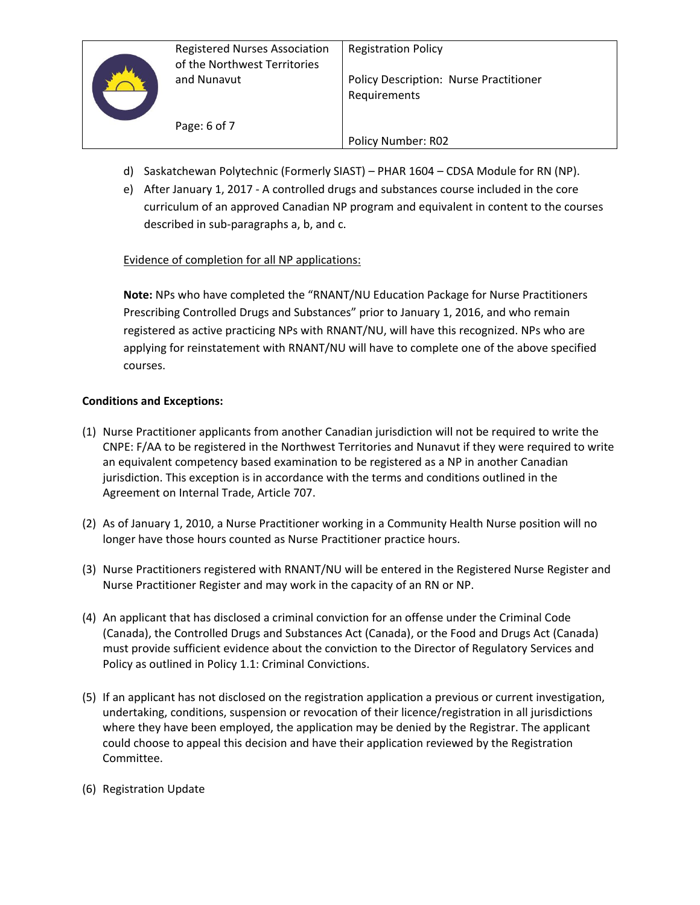

- d) Saskatchewan Polytechnic (Formerly SIAST) PHAR 1604 CDSA Module for RN (NP).
- e) After January 1, 2017 A controlled drugs and substances course included in the core curriculum of an approved Canadian NP program and equivalent in content to the courses described in sub-paragraphs a, b, and c.

Policy Number: R02

# Evidence of completion for all NP applications:

Page: 6 of 7

**Note:** NPs who have completed the "RNANT/NU Education Package for Nurse Practitioners Prescribing Controlled Drugs and Substances" prior to January 1, 2016, and who remain registered as active practicing NPs with RNANT/NU, will have this recognized. NPs who are applying for reinstatement with RNANT/NU will have to complete one of the above specified courses.

# **Conditions and Exceptions:**

- (1) Nurse Practitioner applicants from another Canadian jurisdiction will not be required to write the CNPE: F/AA to be registered in the Northwest Territories and Nunavut if they were required to write an equivalent competency based examination to be registered as a NP in another Canadian jurisdiction. This exception is in accordance with the terms and conditions outlined in the Agreement on Internal Trade, Article 707.
- (2) As of January 1, 2010, a Nurse Practitioner working in a Community Health Nurse position will no longer have those hours counted as Nurse Practitioner practice hours.
- (3) Nurse Practitioners registered with RNANT/NU will be entered in the Registered Nurse Register and Nurse Practitioner Register and may work in the capacity of an RN or NP.
- (4) An applicant that has disclosed a criminal conviction for an offense under the Criminal Code (Canada), the Controlled Drugs and Substances Act (Canada), or the Food and Drugs Act (Canada) must provide sufficient evidence about the conviction to the Director of Regulatory Services and Policy as outlined in Policy 1.1: Criminal Convictions.
- (5) If an applicant has not disclosed on the registration application a previous or current investigation, undertaking, conditions, suspension or revocation of their licence/registration in all jurisdictions where they have been employed, the application may be denied by the Registrar. The applicant could choose to appeal this decision and have their application reviewed by the Registration Committee.
- (6) Registration Update